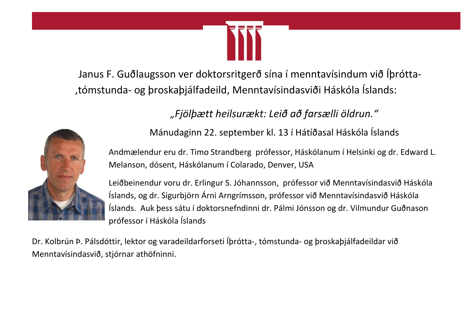

 Janus F. Guðlaugsson ver doktorsritgerð sína í menntavísindum við Íþrótta- ,tómstunda- og þroskaþjálfadeild, Menntavísindasviði Háskóla Íslands:

*"Fjölþætt heilsurækt: Leið að farsælli öldrun."*



Mánudaginn 22. september kl. 13 í Hátíðasal Háskóla Íslands

Andmælendur eru dr. Timo Strandberg prófessor, Háskólanum í Helsinki og dr. Edward L. Melanson, dósent, Háskólanum í Colarado, Denver, USA

Leiðbeinendur voru dr. Erlingur S. Jóhannsson, prófessor við Menntavísindasvið Háskóla Íslands, og dr. Sigurbjörn Árni Arngrímsson, prófessor við Menntavísindasvið Háskóla Íslands. Auk þess sátu í doktorsnefndinni dr. Pálmi Jónsson og dr. Vilmundur Guðnason prófessor í Háskóla Íslands

Dr. Kolbrún Þ. Pálsdóttir, lektor og varadeildarforseti Íþrótta-, tómstunda- og þroskaþjálfadeildar við Menntavísindasvið, stjórnar athöfninni.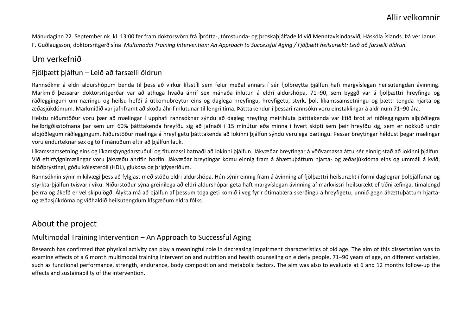Mánudaginn 22. September nk. kl. 13:00 fer fram doktorsvörn frá Íþrótta-, tómstunda- og þroskaþjálfadeild við Menntavísindasvið, Háskóla Íslands. Þá ver Janus F. Guðlaugsson, doktorsritgerð sína *Multimodal Training Intervention: An Approach to Successful Aging / Fjölþætt heilsurækt: Leið að farsælli öldrun.* 

# Um verkefnið

#### Fjölþætt þjálfun – Leið að farsælli öldrun

Rannsóknir á eldri aldurshópum benda til þess að virkur lífsstíll sem felur meðal annars í sér fjölbreytta þjálfun hafi margvíslegan heilsutengdan ávinning. Markmið þessarar doktorsritgerðar var að athuga hvaða áhrif sex mánaða íhlutun á eldri aldurshópa, 71–90, sem byggð var á fjölþættri hreyfingu og ráðleggingum um næringu og heilsu hefði á útkomubreytur eins og daglega hreyfingu, hreyfigetu, styrk, þol, líkamssamsetningu og þætti tengda hjarta og æðasjúkdómum. Markmiðið var jafnframt að skoða áhrif íhlutunar til lengri tíma. Þátttakendur í þessari rannsókn voru einstaklingar á aldrinum 71–90 ára.

Helstu niðurstöður voru þær að mælingar í upphafi rannsóknar sýndu að dagleg hreyfing meirihluta þátttakenda var lítið brot af ráðleggingum alþjóðlegra heilbrigðisstofnana þar sem um 60% þátttakenda hreyfðu sig að jafnaði í 15 mínútur eða minna í hvert skipti sem þeir hreyfðu sig, sem er nokkuð undir alþjóðlegum ráðleggingum. Niðurstöður mælinga á hreyfigetu þátttakenda að lokinni þjálfun sýndu verulega bætingu. Þessar breytingar héldust þegar mælingar voru endurteknar sex og tólf mánuðum eftir að þjálfun lauk.

Líkamssamsetning eins og líkamsþyngdarstuðull og fitumassi batnaði að lokinni þjálfun. Jákvæðar breytingar á vöðvamassa áttu sér einnig stað að lokinni þjálfun. Við eftirfylgnimælingar voru jákvæðu áhrifin horfin. Jákvæðar breytingar komu einnig fram á áhættuþáttum hjarta- og æðasjúkdóma eins og ummáli á kvið, blóðþrýstingi, góðu kólesteróli (HDL), glúkósa og þríglýseríðum.

Rannsóknin sýnir mikilvægi þess að fylgjast með stöðu eldri aldurshópa. Hún sýnir einnig fram á ávinning af fjölþættri heilsurækt í formi daglegrar þolþjálfunar og styrktarþjálfun tvisvar í viku. Niðurstöður sýna greinilega að eldri aldurshópar geta haft margvíslegan ávinning af markvissri heilsurækt ef tíðni æfinga, tímalengd þeirra og ákefð er vel skipulögð. Álykta má að þjálfun af þessum toga geti komið í veg fyrir ótímabæra skerðingu á hreyfigetu, unnið gegn áhættuþáttum hjartaog æðasjúkdóma og viðhaldið heilsutengdum lífsgæðum eldra fólks.

# About the project

#### Multimodal Training Intervention – An Approach to Successful Aging

Research has confirmed that physical activity can play a meaningful role in decreasing impairment characteristics of old age. The aim of this dissertation was to examine effects of a 6 month multimodal training intervention and nutrition and health counseling on elderly people, 71–90 years of age, on different variables, such as functional performance, strength, endurance, body composition and metabolic factors. The aim was also to evaluate at 6 and 12 months follow-up the effects and sustainability of the intervention.